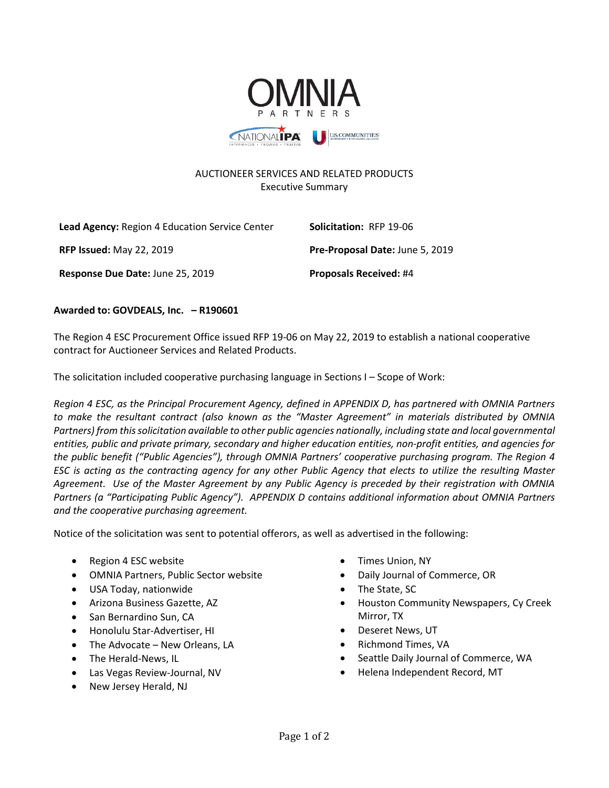

## AUCTIONEER SERVICES AND RELATED PRODUCTS Executive Summary

| Lead Agency: Region 4 Education Service Center | Solicitation: RFP 19-06         |
|------------------------------------------------|---------------------------------|
| <b>RFP Issued: May 22, 2019</b>                | Pre-Proposal Date: June 5, 2019 |
| Response Due Date: June 25, 2019               | <b>Proposals Received: #4</b>   |

## **Awarded to: GOVDEALS, Inc. – R190601**

The Region 4 ESC Procurement Office issued RFP 19-06 on May 22, 2019 to establish a national cooperative contract for Auctioneer Services and Related Products.

The solicitation included cooperative purchasing language in Sections I – Scope of Work:

*Region 4 ESC, as the Principal Procurement Agency, defined in APPENDIX D, has partnered with OMNIA Partners to make the resultant contract (also known as the "Master Agreement" in materials distributed by OMNIA Partners) from this solicitation available to other public agencies nationally, including state and local governmental entities, public and private primary, secondary and higher education entities, non-profit entities, and agencies for the public benefit ("Public Agencies"), through OMNIA Partners' cooperative purchasing program. The Region 4 ESC is acting as the contracting agency for any other Public Agency that elects to utilize the resulting Master Agreement. Use of the Master Agreement by any Public Agency is preceded by their registration with OMNIA Partners (a "Participating Public Agency"). APPENDIX D contains additional information about OMNIA Partners and the cooperative purchasing agreement.*

Notice of the solicitation was sent to potential offerors, as well as advertised in the following:

- Region 4 ESC website
- OMNIA Partners, Public Sector website
- USA Today, nationwide
- Arizona Business Gazette, AZ
- San Bernardino Sun, CA
- Honolulu Star-Advertiser, HI
- The Advocate New Orleans, LA
- The Herald-News, IL
- Las Vegas Review-Journal, NV
- New Jersey Herald, NJ
- Times Union, NY
- Daily Journal of Commerce, OR
- The State, SC
- Houston Community Newspapers, Cy Creek Mirror, TX
- Deseret News, UT
- Richmond Times, VA
- Seattle Daily Journal of Commerce, WA
- Helena Independent Record, MT